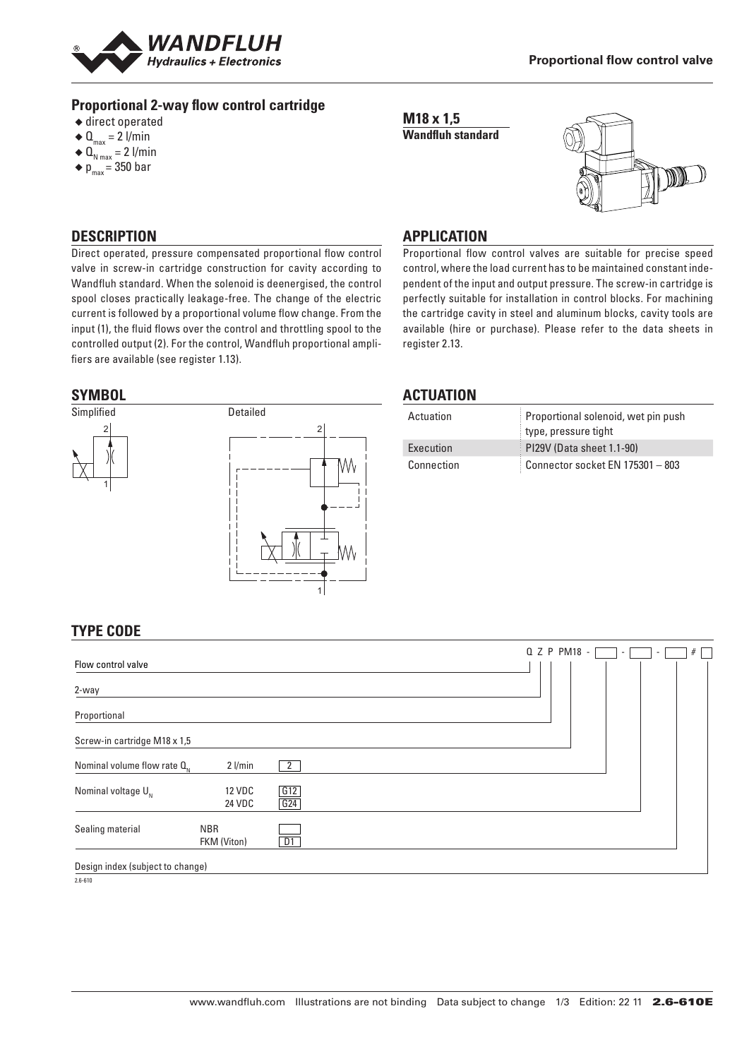

### **Proportional 2-way flow control cartridge**

- $\triangle$  direct operated
- $\triangleleft$  Q<sub>max</sub> = 2 l/min
- $\triangleleft \mathbf{Q}_{N \max} = 2 \frac{1}{\min}$
- $\blacklozenge$  p<sub>max</sub> = 350 bar

**M18 x 1,5 Wandfluh standard**



### **DESCRIPTION**

Direct operated, pressure compensated proportional flow control valve in screw-in cartridge construction for cavity according to Wandfluh standard. When the solenoid is deenergised, the control spool closes practically leakage-free. The change of the electric current is followed by a proportional volume flow change. From the input (1), the fluid flows over the control and throttling spool to the controlled output (2). For the control, Wandfluh proportional amplifiers are available (see register 1.13).

### **SYMBOL**



### **APPLICATION**

Proportional flow control valves are suitable for precise speed control, where the load current has to be maintained constant independent of the input and output pressure. The screw-in cartridge is perfectly suitable for installation in control blocks. For machining the cartridge cavity in steel and aluminum blocks, cavity tools are available (hire or purchase). Please refer to the data sheets in register 2.13.

### **ACTUATION**

| Actuation  | Proportional solenoid, wet pin push |
|------------|-------------------------------------|
|            | type, pressure tight                |
| Execution  | PI29V (Data sheet 1.1-90)           |
| Connection | Connector socket EN 175301 - 803    |

## **TYPE CODE**

| Flow control valve               |                           |            |  |  | Q Z P PM18 - | н. | $\overline{\phantom{a}}$ | # |
|----------------------------------|---------------------------|------------|--|--|--------------|----|--------------------------|---|
| 2-way                            |                           |            |  |  |              |    |                          |   |
| Proportional                     |                           |            |  |  |              |    |                          |   |
| Screw-in cartridge M18 x 1,5     |                           |            |  |  |              |    |                          |   |
| Nominal volume flow rate $Q_{N}$ | $2$ l/min                 | 2          |  |  |              |    |                          |   |
| Nominal voltage $U_{N}$          | <b>12 VDC</b><br>24 VDC   | G12<br>G24 |  |  |              |    |                          |   |
| Sealing material                 | <b>NBR</b><br>FKM (Viton) | D1         |  |  |              |    |                          |   |
| Design index (subject to change) |                           |            |  |  |              |    |                          |   |

2.6-610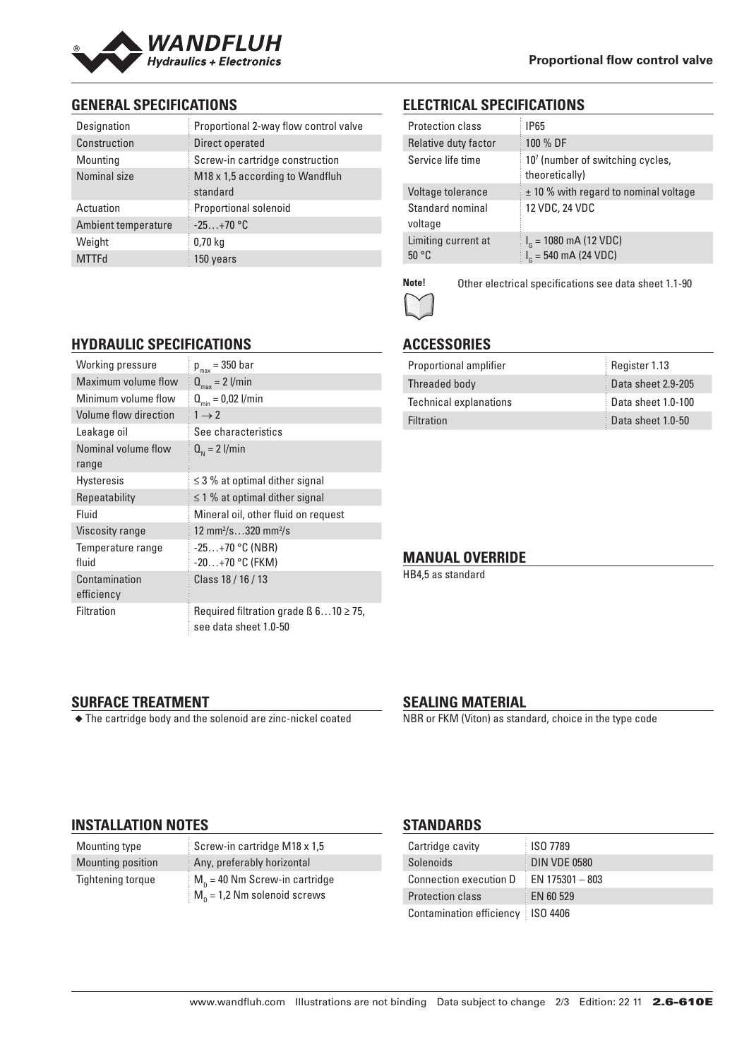

## **GENERAL SPECIFICATIONS**

| Designation         | Proportional 2-way flow control valve       |
|---------------------|---------------------------------------------|
| Construction        | Direct operated                             |
| Mounting            | Screw-in cartridge construction             |
| Nominal size        | M18 x 1,5 according to Wandfluh<br>standard |
| Actuation           | <b>Proportional solenoid</b>                |
| Ambient temperature | $-25+70$ °C                                 |
| Weight              | 0.70 <sub>kq</sub>                          |
| <b>MTTFd</b>        | 150 years                                   |

### **ELECTRICAL SPECIFICATIONS**

| <b>Protection class</b>               | IP65                                                           |
|---------------------------------------|----------------------------------------------------------------|
| Relative duty factor                  | 100 % DF                                                       |
| Service life time                     | 10 <sup>7</sup> (number of switching cycles,<br>theoretically) |
| Voltage tolerance                     | $\pm$ 10 % with regard to nominal voltage                      |
| Standard nominal<br>voltage           | 12 VDC, 24 VDC                                                 |
| Limiting current at<br>$50^{\circ}$ C | $I_{\rm g}$ = 1080 mA (12 VDC)<br>$I_c = 540$ mA (24 VDC)      |
|                                       |                                                                |

**Note!** Other electrical specifications see data sheet 1.1-90

# **ACCESSORIES**

| Proportional amplifier        | Register 1.13      |
|-------------------------------|--------------------|
| Threaded body                 | Data sheet 2.9-205 |
| <b>Technical explanations</b> | Data sheet 1.0-100 |
| <b>Filtration</b>             | Data sheet 1.0-50  |

### **MANUAL OVERRIDE**

HB4,5 as standard

**SURFACE TREATMENT** ◆ The cartridge body and the solenoid are zinc-nickel coated

## **SEALING MATERIAL**

NBR or FKM (Viton) as standard, choice in the type code

### **INSTALLATION NOTES**

Mounting type Screw-in cartridge M18 x 1,5 Mounting position Any, preferably horizontal Tightening torque  $M_p = 40$  Nm Screw-in cartridge  $M_p = 1,2$  Nm solenoid screws

### **STANDARDS**

| Cartridge cavity                    | <b>ISO 7789</b>   |
|-------------------------------------|-------------------|
| Solenoids                           | DIN VDE 0580      |
| Connection execution D              | $EN$ 175301 - 803 |
| <b>Protection class</b>             | EN 60 529         |
| Contamination efficiency   ISO 4406 |                   |

# **HYDRAULIC SPECIFICATIONS**

| Working pressure            | $p_{max}$ = 350 bar                                                       |
|-----------------------------|---------------------------------------------------------------------------|
| Maximum volume flow         | $Q_{\text{max}} = 2$ l/min                                                |
| Minimum volume flow         | $Q_{\min} = 0.02$ l/min                                                   |
| Volume flow direction       | $1 \rightarrow 2$                                                         |
| Leakage oil                 | See characteristics                                                       |
| Nominal volume flow         | $Q_{N} = 2$ l/min                                                         |
| range                       |                                                                           |
| <b>Hysteresis</b>           | $\leq$ 3 % at optimal dither signal                                       |
| Repeatability               | $\leq$ 1 % at optimal dither signal                                       |
| Fluid                       | Mineral oil, other fluid on request                                       |
| <b>Viscosity range</b>      | 12 mm <sup>2</sup> /s320 mm <sup>2</sup> /s                               |
| Temperature range           | $-25+70$ °C (NBR)                                                         |
| fluid                       | $-20+70$ °C (FKM)                                                         |
| Contamination<br>efficiency | Class 18 / 16 / 13                                                        |
| Filtration                  | Required filtration grade $\beta$ 610 $\geq$ 75,<br>see data sheet 1.0-50 |